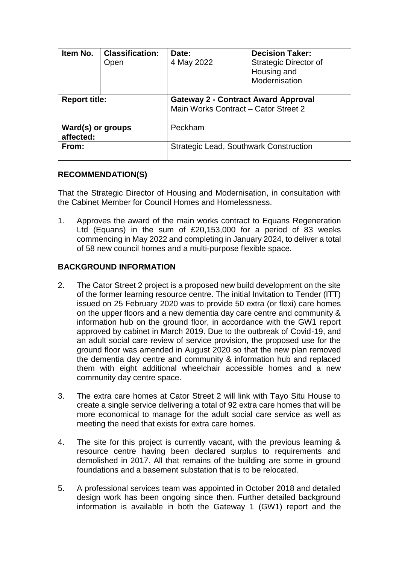| Item No.                       | <b>Classification:</b><br>Open | Date:<br>4 May 2022                                                                | <b>Decision Taker:</b><br><b>Strategic Director of</b><br>Housing and<br>Modernisation |
|--------------------------------|--------------------------------|------------------------------------------------------------------------------------|----------------------------------------------------------------------------------------|
| <b>Report title:</b>           |                                | <b>Gateway 2 - Contract Award Approval</b><br>Main Works Contract - Cator Street 2 |                                                                                        |
| Ward(s) or groups<br>affected: |                                | Peckham                                                                            |                                                                                        |
| From:                          |                                | <b>Strategic Lead, Southwark Construction</b>                                      |                                                                                        |

#### **RECOMMENDATION(S)**

That the Strategic Director of Housing and Modernisation, in consultation with the Cabinet Member for Council Homes and Homelessness.

1. Approves the award of the main works contract to Equans Regeneration Ltd (Equans) in the sum of £20,153,000 for a period of 83 weeks commencing in May 2022 and completing in January 2024, to deliver a total of 58 new council homes and a multi-purpose flexible space.

## **BACKGROUND INFORMATION**

- 2. The Cator Street 2 project is a proposed new build development on the site of the former learning resource centre. The initial Invitation to Tender (ITT) issued on 25 February 2020 was to provide 50 extra (or flexi) care homes on the upper floors and a new dementia day care centre and community & information hub on the ground floor, in accordance with the GW1 report approved by cabinet in March 2019. Due to the outbreak of Covid-19, and an adult social care review of service provision, the proposed use for the ground floor was amended in August 2020 so that the new plan removed the dementia day centre and community & information hub and replaced them with eight additional wheelchair accessible homes and a new community day centre space.
- 3. The extra care homes at Cator Street 2 will link with Tayo Situ House to create a single service delivering a total of 92 extra care homes that will be more economical to manage for the adult social care service as well as meeting the need that exists for extra care homes.
- 4. The site for this project is currently vacant, with the previous learning & resource centre having been declared surplus to requirements and demolished in 2017. All that remains of the building are some in ground foundations and a basement substation that is to be relocated.
- 5. A professional services team was appointed in October 2018 and detailed design work has been ongoing since then. Further detailed background information is available in both the Gateway 1 (GW1) report and the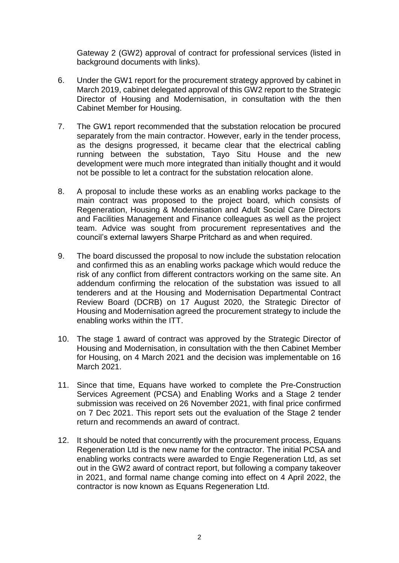Gateway 2 (GW2) approval of contract for professional services (listed in background documents with links).

- 6. Under the GW1 report for the procurement strategy approved by cabinet in March 2019, cabinet delegated approval of this GW2 report to the Strategic Director of Housing and Modernisation, in consultation with the then Cabinet Member for Housing.
- 7. The GW1 report recommended that the substation relocation be procured separately from the main contractor. However, early in the tender process, as the designs progressed, it became clear that the electrical cabling running between the substation, Tayo Situ House and the new development were much more integrated than initially thought and it would not be possible to let a contract for the substation relocation alone.
- 8. A proposal to include these works as an enabling works package to the main contract was proposed to the project board, which consists of Regeneration, Housing & Modernisation and Adult Social Care Directors and Facilities Management and Finance colleagues as well as the project team. Advice was sought from procurement representatives and the council's external lawyers Sharpe Pritchard as and when required.
- 9. The board discussed the proposal to now include the substation relocation and confirmed this as an enabling works package which would reduce the risk of any conflict from different contractors working on the same site. An addendum confirming the relocation of the substation was issued to all tenderers and at the Housing and Modernisation Departmental Contract Review Board (DCRB) on 17 August 2020, the Strategic Director of Housing and Modernisation agreed the procurement strategy to include the enabling works within the ITT.
- 10. The stage 1 award of contract was approved by the Strategic Director of Housing and Modernisation, in consultation with the then Cabinet Member for Housing, on 4 March 2021 and the decision was implementable on 16 March 2021.
- 11. Since that time, Equans have worked to complete the Pre-Construction Services Agreement (PCSA) and Enabling Works and a Stage 2 tender submission was received on 26 November 2021, with final price confirmed on 7 Dec 2021. This report sets out the evaluation of the Stage 2 tender return and recommends an award of contract.
- 12. It should be noted that concurrently with the procurement process, Equans Regeneration Ltd is the new name for the contractor. The initial PCSA and enabling works contracts were awarded to Engie Regeneration Ltd, as set out in the GW2 award of contract report, but following a company takeover in 2021, and formal name change coming into effect on 4 April 2022, the contractor is now known as Equans Regeneration Ltd.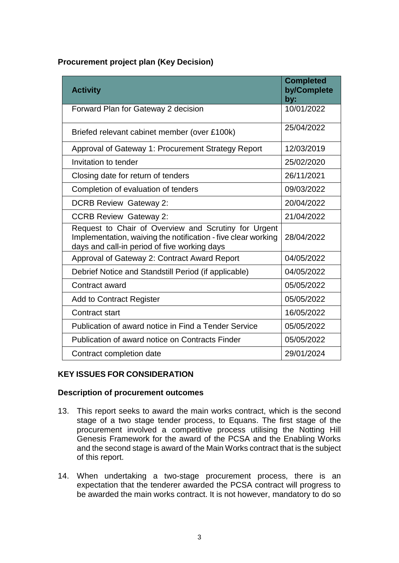## **Procurement project plan (Key Decision)**

| <b>Activity</b>                                                                                                                                                       | <b>Completed</b><br>by/Complete<br>by: |
|-----------------------------------------------------------------------------------------------------------------------------------------------------------------------|----------------------------------------|
| Forward Plan for Gateway 2 decision                                                                                                                                   | 10/01/2022                             |
| Briefed relevant cabinet member (over £100k)                                                                                                                          | 25/04/2022                             |
| Approval of Gateway 1: Procurement Strategy Report                                                                                                                    | 12/03/2019                             |
| Invitation to tender                                                                                                                                                  | 25/02/2020                             |
| Closing date for return of tenders                                                                                                                                    | 26/11/2021                             |
| Completion of evaluation of tenders                                                                                                                                   | 09/03/2022                             |
| <b>DCRB Review Gateway 2:</b>                                                                                                                                         | 20/04/2022                             |
| <b>CCRB Review Gateway 2:</b>                                                                                                                                         | 21/04/2022                             |
| Request to Chair of Overview and Scrutiny for Urgent<br>Implementation, waiving the notification - five clear working<br>days and call-in period of five working days | 28/04/2022                             |
| Approval of Gateway 2: Contract Award Report                                                                                                                          | 04/05/2022                             |
| Debrief Notice and Standstill Period (if applicable)                                                                                                                  | 04/05/2022                             |
| Contract award                                                                                                                                                        | 05/05/2022                             |
| <b>Add to Contract Register</b>                                                                                                                                       | 05/05/2022                             |
| <b>Contract start</b>                                                                                                                                                 | 16/05/2022                             |
| Publication of award notice in Find a Tender Service                                                                                                                  | 05/05/2022                             |
| Publication of award notice on Contracts Finder                                                                                                                       | 05/05/2022                             |
| Contract completion date                                                                                                                                              | 29/01/2024                             |

#### **KEY ISSUES FOR CONSIDERATION**

#### **Description of procurement outcomes**

- 13. This report seeks to award the main works contract, which is the second stage of a two stage tender process, to Equans. The first stage of the procurement involved a competitive process utilising the Notting Hill Genesis Framework for the award of the PCSA and the Enabling Works and the second stage is award of the Main Works contract that is the subject of this report.
- 14. When undertaking a two-stage procurement process, there is an expectation that the tenderer awarded the PCSA contract will progress to be awarded the main works contract. It is not however, mandatory to do so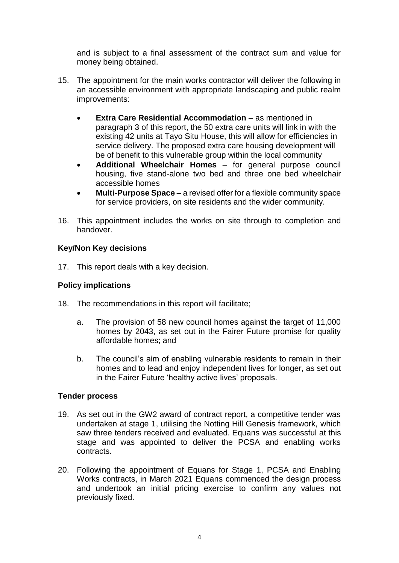and is subject to a final assessment of the contract sum and value for money being obtained.

- 15. The appointment for the main works contractor will deliver the following in an accessible environment with appropriate landscaping and public realm improvements:
	- **Extra Care Residential Accommodation** as mentioned in paragraph 3 of this report, the 50 extra care units will link in with the existing 42 units at Tayo Situ House, this will allow for efficiencies in service delivery. The proposed extra care housing development will be of benefit to this vulnerable group within the local community
	- **Additional Wheelchair Homes** for general purpose council housing, five stand-alone two bed and three one bed wheelchair accessible homes
	- **Multi-Purpose Space** a revised offer for a flexible community space for service providers, on site residents and the wider community.
- 16. This appointment includes the works on site through to completion and handover.

## **Key/Non Key decisions**

17. This report deals with a key decision.

### **Policy implications**

- 18. The recommendations in this report will facilitate;
	- a. The provision of 58 new council homes against the target of 11,000 homes by 2043, as set out in the Fairer Future promise for quality affordable homes; and
	- b. The council's aim of enabling vulnerable residents to remain in their homes and to lead and enjoy independent lives for longer, as set out in the Fairer Future 'healthy active lives' proposals.

#### **Tender process**

- 19. As set out in the GW2 award of contract report, a competitive tender was undertaken at stage 1, utilising the Notting Hill Genesis framework, which saw three tenders received and evaluated. Equans was successful at this stage and was appointed to deliver the PCSA and enabling works contracts.
- 20. Following the appointment of Equans for Stage 1, PCSA and Enabling Works contracts, in March 2021 Equans commenced the design process and undertook an initial pricing exercise to confirm any values not previously fixed.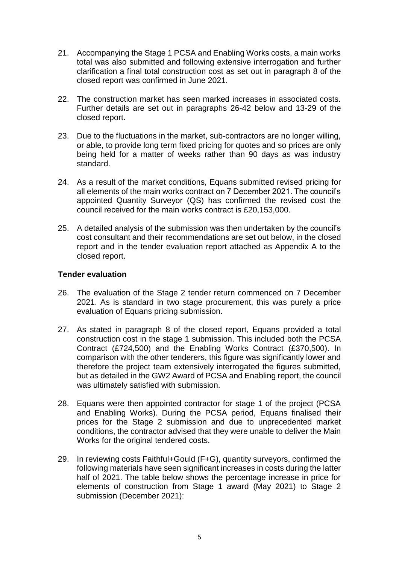- 21. Accompanying the Stage 1 PCSA and Enabling Works costs, a main works total was also submitted and following extensive interrogation and further clarification a final total construction cost as set out in paragraph 8 of the closed report was confirmed in June 2021.
- 22. The construction market has seen marked increases in associated costs. Further details are set out in paragraphs 26-42 below and 13-29 of the closed report.
- 23. Due to the fluctuations in the market, sub-contractors are no longer willing, or able, to provide long term fixed pricing for quotes and so prices are only being held for a matter of weeks rather than 90 days as was industry standard.
- 24. As a result of the market conditions, Equans submitted revised pricing for all elements of the main works contract on 7 December 2021. The council's appointed Quantity Surveyor (QS) has confirmed the revised cost the council received for the main works contract is £20,153,000.
- 25. A detailed analysis of the submission was then undertaken by the council's cost consultant and their recommendations are set out below, in the closed report and in the tender evaluation report attached as Appendix A to the closed report.

#### **Tender evaluation**

- 26. The evaluation of the Stage 2 tender return commenced on 7 December 2021. As is standard in two stage procurement, this was purely a price evaluation of Equans pricing submission.
- 27. As stated in paragraph 8 of the closed report, Equans provided a total construction cost in the stage 1 submission. This included both the PCSA Contract (£724,500) and the Enabling Works Contract (£370,500). In comparison with the other tenderers, this figure was significantly lower and therefore the project team extensively interrogated the figures submitted, but as detailed in the GW2 Award of PCSA and Enabling report, the council was ultimately satisfied with submission.
- 28. Equans were then appointed contractor for stage 1 of the project (PCSA and Enabling Works). During the PCSA period, Equans finalised their prices for the Stage 2 submission and due to unprecedented market conditions, the contractor advised that they were unable to deliver the Main Works for the original tendered costs.
- 29. In reviewing costs Faithful+Gould (F+G), quantity surveyors, confirmed the following materials have seen significant increases in costs during the latter half of 2021. The table below shows the percentage increase in price for elements of construction from Stage 1 award (May 2021) to Stage 2 submission (December 2021):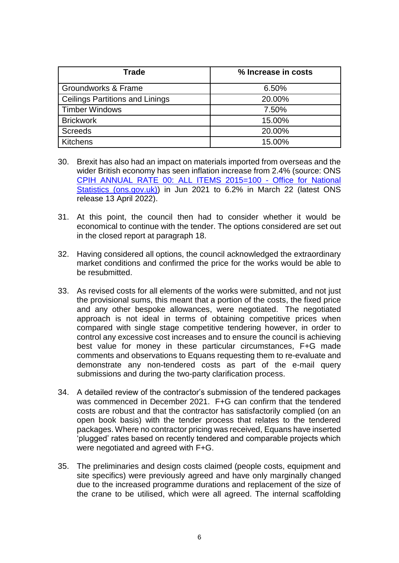| <b>Trade</b>                           | % Increase in costs |  |
|----------------------------------------|---------------------|--|
| Groundworks & Frame                    | 6.50%               |  |
| <b>Ceilings Partitions and Linings</b> | 20.00%              |  |
| <b>Timber Windows</b>                  | 7.50%               |  |
| <b>Brickwork</b>                       | 15.00%              |  |
| <b>Screeds</b>                         | 20.00%              |  |
| <b>Kitchens</b>                        | 15.00%              |  |

- 30. Brexit has also had an impact on materials imported from overseas and the wider British economy has seen inflation increase from 2.4% (source: ONS [CPIH ANNUAL RATE 00: ALL ITEMS 2015=100 -](https://www.ons.gov.uk/economy/inflationandpriceindices/timeseries/l55o/mm23) Office for National [Statistics \(ons.gov.uk\)\)](https://www.ons.gov.uk/economy/inflationandpriceindices/timeseries/l55o/mm23) in Jun 2021 to 6.2% in March 22 (latest ONS release 13 April 2022).
- 31. At this point, the council then had to consider whether it would be economical to continue with the tender. The options considered are set out in the closed report at paragraph 18.
- 32. Having considered all options, the council acknowledged the extraordinary market conditions and confirmed the price for the works would be able to be resubmitted.
- 33. As revised costs for all elements of the works were submitted, and not just the provisional sums, this meant that a portion of the costs, the fixed price and any other bespoke allowances, were negotiated. The negotiated approach is not ideal in terms of obtaining competitive prices when compared with single stage competitive tendering however, in order to control any excessive cost increases and to ensure the council is achieving best value for money in these particular circumstances, F+G made comments and observations to Equans requesting them to re-evaluate and demonstrate any non-tendered costs as part of the e-mail query submissions and during the two-party clarification process.
- 34. A detailed review of the contractor's submission of the tendered packages was commenced in December 2021. F+G can confirm that the tendered costs are robust and that the contractor has satisfactorily complied (on an open book basis) with the tender process that relates to the tendered packages. Where no contractor pricing was received, Equans have inserted 'plugged' rates based on recently tendered and comparable projects which were negotiated and agreed with F+G.
- 35. The preliminaries and design costs claimed (people costs, equipment and site specifics) were previously agreed and have only marginally changed due to the increased programme durations and replacement of the size of the crane to be utilised, which were all agreed. The internal scaffolding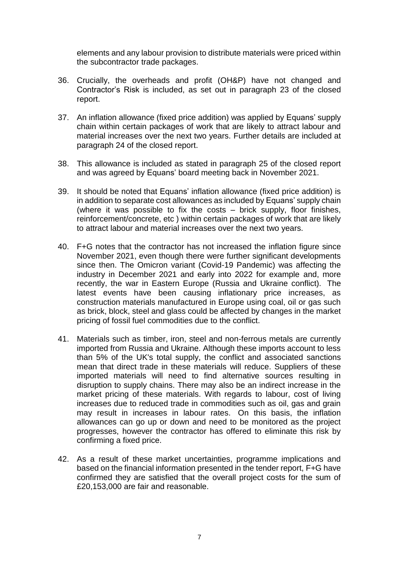elements and any labour provision to distribute materials were priced within the subcontractor trade packages.

- 36. Crucially, the overheads and profit (OH&P) have not changed and Contractor's Risk is included, as set out in paragraph 23 of the closed report.
- 37. An inflation allowance (fixed price addition) was applied by Equans' supply chain within certain packages of work that are likely to attract labour and material increases over the next two years. Further details are included at paragraph 24 of the closed report.
- 38. This allowance is included as stated in paragraph 25 of the closed report and was agreed by Equans' board meeting back in November 2021.
- 39. It should be noted that Equans' inflation allowance (fixed price addition) is in addition to separate cost allowances as included by Equans' supply chain (where it was possible to fix the costs – brick supply, floor finishes, reinforcement/concrete, etc ) within certain packages of work that are likely to attract labour and material increases over the next two years.
- 40. F+G notes that the contractor has not increased the inflation figure since November 2021, even though there were further significant developments since then. The Omicron variant (Covid-19 Pandemic) was affecting the industry in December 2021 and early into 2022 for example and, more recently, the war in Eastern Europe (Russia and Ukraine conflict). The latest events have been causing inflationary price increases, as construction materials manufactured in Europe using coal, oil or gas such as brick, block, steel and glass could be affected by changes in the market pricing of fossil fuel commodities due to the conflict.
- 41. Materials such as timber, iron, steel and non-ferrous metals are currently imported from Russia and Ukraine. Although these imports account to less than 5% of the UK's total supply, the conflict and associated sanctions mean that direct trade in these materials will reduce. Suppliers of these imported materials will need to find alternative sources resulting in disruption to supply chains. There may also be an indirect increase in the market pricing of these materials. With regards to labour, cost of living increases due to reduced trade in commodities such as oil, gas and grain may result in increases in labour rates. On this basis, the inflation allowances can go up or down and need to be monitored as the project progresses, however the contractor has offered to eliminate this risk by confirming a fixed price.
- 42. As a result of these market uncertainties, programme implications and based on the financial information presented in the tender report, F+G have confirmed they are satisfied that the overall project costs for the sum of £20,153,000 are fair and reasonable.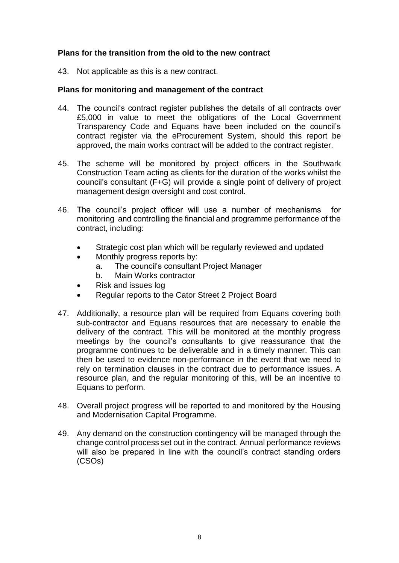## **Plans for the transition from the old to the new contract**

43. Not applicable as this is a new contract.

#### **Plans for monitoring and management of the contract**

- 44. The council's contract register publishes the details of all contracts over £5,000 in value to meet the obligations of the Local Government Transparency Code and Equans have been included on the council's contract register via the eProcurement System, should this report be approved, the main works contract will be added to the contract register.
- 45. The scheme will be monitored by project officers in the Southwark Construction Team acting as clients for the duration of the works whilst the council's consultant (F+G) will provide a single point of delivery of project management design oversight and cost control.
- 46. The council's project officer will use a number of mechanisms for monitoring and controlling the financial and programme performance of the contract, including:
	- Strategic cost plan which will be regularly reviewed and updated
	- Monthly progress reports by:
		- a. The council's consultant Project Manager
		- b. Main Works contractor
	- Risk and issues log
	- Regular reports to the Cator Street 2 Project Board
- 47. Additionally, a resource plan will be required from Equans covering both sub-contractor and Equans resources that are necessary to enable the delivery of the contract. This will be monitored at the monthly progress meetings by the council's consultants to give reassurance that the programme continues to be deliverable and in a timely manner. This can then be used to evidence non-performance in the event that we need to rely on termination clauses in the contract due to performance issues. A resource plan, and the regular monitoring of this, will be an incentive to Equans to perform.
- 48. Overall project progress will be reported to and monitored by the Housing and Modernisation Capital Programme.
- 49. Any demand on the construction contingency will be managed through the change control process set out in the contract. Annual performance reviews will also be prepared in line with the council's contract standing orders (CSOs)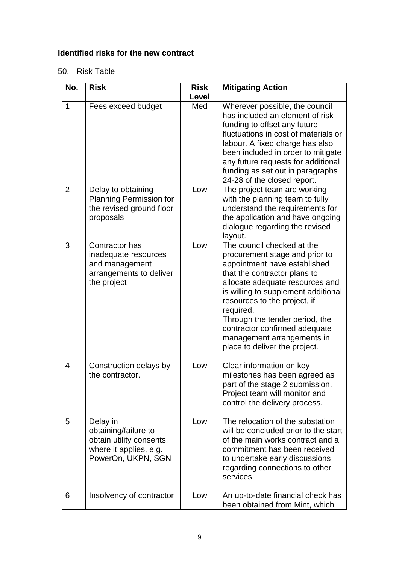# **Identified risks for the new contract**

# 50. Risk Table

| No.            | <b>Risk</b>                                                                                                  | <b>Risk</b> | <b>Mitigating Action</b>                                                                                                                                                                                                                                                                                                                                                              |
|----------------|--------------------------------------------------------------------------------------------------------------|-------------|---------------------------------------------------------------------------------------------------------------------------------------------------------------------------------------------------------------------------------------------------------------------------------------------------------------------------------------------------------------------------------------|
|                |                                                                                                              | Level       |                                                                                                                                                                                                                                                                                                                                                                                       |
| $\mathbf{1}$   | Fees exceed budget                                                                                           | Med         | Wherever possible, the council<br>has included an element of risk<br>funding to offset any future<br>fluctuations in cost of materials or<br>labour. A fixed charge has also<br>been included in order to mitigate<br>any future requests for additional<br>funding as set out in paragraphs<br>24-28 of the closed report.                                                           |
| $\overline{2}$ | Delay to obtaining<br><b>Planning Permission for</b><br>the revised ground floor<br>proposals                | Low         | The project team are working<br>with the planning team to fully<br>understand the requirements for<br>the application and have ongoing<br>dialogue regarding the revised<br>layout.                                                                                                                                                                                                   |
| 3              | Contractor has<br>inadequate resources<br>and management<br>arrangements to deliver<br>the project           | Low         | The council checked at the<br>procurement stage and prior to<br>appointment have established<br>that the contractor plans to<br>allocate adequate resources and<br>is willing to supplement additional<br>resources to the project, if<br>required.<br>Through the tender period, the<br>contractor confirmed adequate<br>management arrangements in<br>place to deliver the project. |
| 4              | Construction delays by<br>the contractor.                                                                    | Low         | Clear information on key<br>milestones has been agreed as<br>part of the stage 2 submission.<br>Project team will monitor and<br>control the delivery process.                                                                                                                                                                                                                        |
| 5              | Delay in<br>obtaining/failure to<br>obtain utility consents,<br>where it applies, e.g.<br>PowerOn, UKPN, SGN | Low         | The relocation of the substation<br>will be concluded prior to the start<br>of the main works contract and a<br>commitment has been received<br>to undertake early discussions<br>regarding connections to other<br>services.                                                                                                                                                         |
| 6              | Insolvency of contractor                                                                                     | Low         | An up-to-date financial check has<br>been obtained from Mint, which                                                                                                                                                                                                                                                                                                                   |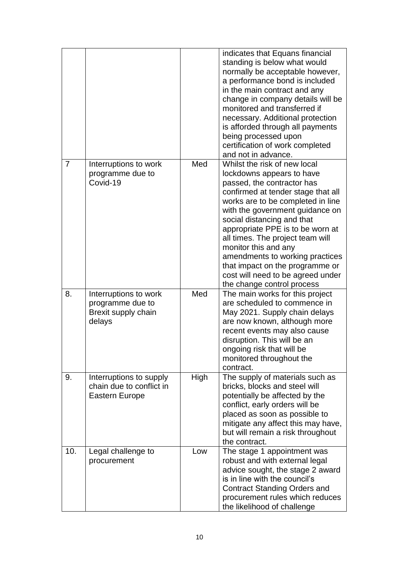|                |                                                                              |      | indicates that Equans financial<br>standing is below what would<br>normally be acceptable however,<br>a performance bond is included<br>in the main contract and any<br>change in company details will be<br>monitored and transferred if<br>necessary. Additional protection<br>is afforded through all payments<br>being processed upon<br>certification of work completed<br>and not in advance.                                                                          |
|----------------|------------------------------------------------------------------------------|------|------------------------------------------------------------------------------------------------------------------------------------------------------------------------------------------------------------------------------------------------------------------------------------------------------------------------------------------------------------------------------------------------------------------------------------------------------------------------------|
| $\overline{7}$ | Interruptions to work<br>programme due to<br>Covid-19                        | Med  | Whilst the risk of new local<br>lockdowns appears to have<br>passed, the contractor has<br>confirmed at tender stage that all<br>works are to be completed in line<br>with the government guidance on<br>social distancing and that<br>appropriate PPE is to be worn at<br>all times. The project team will<br>monitor this and any<br>amendments to working practices<br>that impact on the programme or<br>cost will need to be agreed under<br>the change control process |
| 8.             | Interruptions to work<br>programme due to<br>Brexit supply chain<br>delays   | Med  | The main works for this project<br>are scheduled to commence in<br>May 2021. Supply chain delays<br>are now known, although more<br>recent events may also cause<br>disruption. This will be an<br>ongoing risk that will be<br>monitored throughout the<br>contract.                                                                                                                                                                                                        |
| 9.             | Interruptions to supply<br>chain due to conflict in<br><b>Eastern Europe</b> | High | The supply of materials such as<br>bricks, blocks and steel will<br>potentially be affected by the<br>conflict, early orders will be<br>placed as soon as possible to<br>mitigate any affect this may have,<br>but will remain a risk throughout<br>the contract.                                                                                                                                                                                                            |
| 10.            | Legal challenge to<br>procurement                                            | Low  | The stage 1 appointment was<br>robust and with external legal<br>advice sought, the stage 2 award<br>is in line with the council's<br><b>Contract Standing Orders and</b><br>procurement rules which reduces<br>the likelihood of challenge                                                                                                                                                                                                                                  |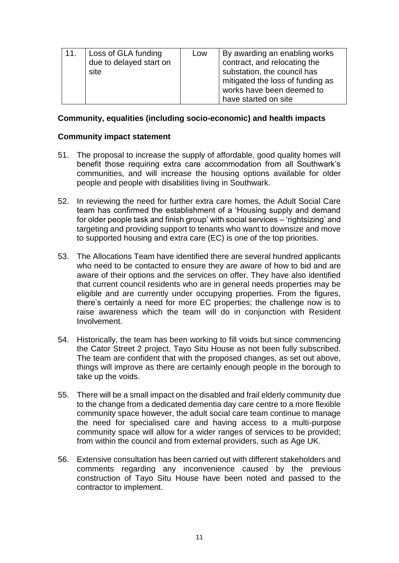| 11.<br>Loss of GLA funding<br>due to delayed start on<br>site |  | By awarding an enabling works<br>Low<br>contract, and relocating the<br>substation, the council has<br>mitigated the loss of funding as<br>works have been deemed to<br>have started on site |
|---------------------------------------------------------------|--|----------------------------------------------------------------------------------------------------------------------------------------------------------------------------------------------|
|---------------------------------------------------------------|--|----------------------------------------------------------------------------------------------------------------------------------------------------------------------------------------------|

#### **Community, equalities (including socio-economic) and health impacts**

#### **Community impact statement**

- 51. The proposal to increase the supply of affordable, good quality homes will benefit those requiring extra care accommodation from all Southwark's communities, and will increase the housing options available for older people and people with disabilities living in Southwark.
- 52. In reviewing the need for further extra care homes, the Adult Social Care team has confirmed the establishment of a 'Housing supply and demand for older people task and finish group' with social services – 'rightsizing' and targeting and providing support to tenants who want to downsize and move to supported housing and extra care (EC) is one of the top priorities.
- 53. The Allocations Team have identified there are several hundred applicants who need to be contacted to ensure they are aware of how to bid and are aware of their options and the services on offer. They have also identified that current council residents who are in general needs properties may be eligible and are currently under occupying properties. From the figures, there's certainly a need for more EC properties; the challenge now is to raise awareness which the team will do in conjunction with Resident Involvement.
- 54. Historically, the team has been working to fill voids but since commencing the Cator Street 2 project, Tayo Situ House as not been fully subscribed. The team are confident that with the proposed changes, as set out above, things will improve as there are certainly enough people in the borough to take up the voids.
- 55. There will be a small impact on the disabled and frail elderly community due to the change from a dedicated dementia day care centre to a more flexible community space however, the adult social care team continue to manage the need for specialised care and having access to a multi-purpose community space will allow for a wider ranges of services to be provided; from within the council and from external providers, such as Age UK.
- 56. Extensive consultation has been carried out with different stakeholders and comments regarding any inconvenience caused by the previous construction of Tayo Situ House have been noted and passed to the contractor to implement.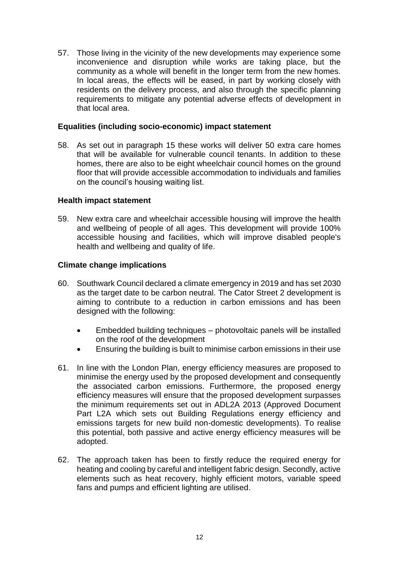57. Those living in the vicinity of the new developments may experience some inconvenience and disruption while works are taking place, but the community as a whole will benefit in the longer term from the new homes. In local areas, the effects will be eased, in part by working closely with residents on the delivery process, and also through the specific planning requirements to mitigate any potential adverse effects of development in that local area.

#### **Equalities (including socio-economic) impact statement**

58. As set out in paragraph 15 these works will deliver 50 extra care homes that will be available for vulnerable council tenants. In addition to these homes, there are also to be eight wheelchair council homes on the ground floor that will provide accessible accommodation to individuals and families on the council's housing waiting list.

#### **Health impact statement**

59. New extra care and wheelchair accessible housing will improve the health and wellbeing of people of all ages. This development will provide 100% accessible housing and facilities, which will improve disabled people's health and wellbeing and quality of life.

#### **Climate change implications**

- 60. Southwark Council declared a climate emergency in 2019 and has set 2030 as the target date to be carbon neutral. The Cator Street 2 development is aiming to contribute to a reduction in carbon emissions and has been designed with the following:
	- Embedded building techniques photovoltaic panels will be installed on the roof of the development
	- Ensuring the building is built to minimise carbon emissions in their use
- 61. In line with the London Plan, energy efficiency measures are proposed to minimise the energy used by the proposed development and consequently the associated carbon emissions. Furthermore, the proposed energy efficiency measures will ensure that the proposed development surpasses the minimum requirements set out in ADL2A 2013 (Approved Document Part L2A which sets out Building Regulations energy efficiency and emissions targets for new build non-domestic developments). To realise this potential, both passive and active energy efficiency measures will be adopted.
- 62. The approach taken has been to firstly reduce the required energy for heating and cooling by careful and intelligent fabric design. Secondly, active elements such as heat recovery, highly efficient motors, variable speed fans and pumps and efficient lighting are utilised.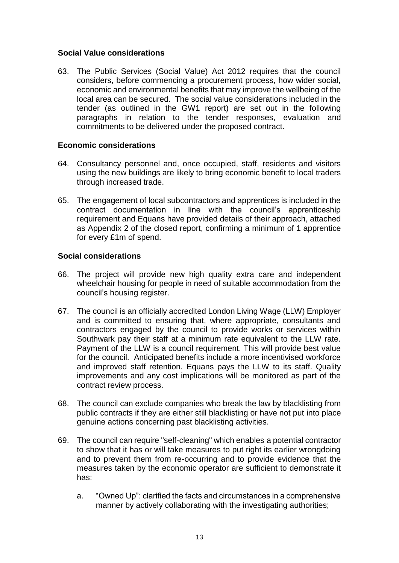### **Social Value considerations**

63. The Public Services (Social Value) Act 2012 requires that the council considers, before commencing a procurement process, how wider social, economic and environmental benefits that may improve the wellbeing of the local area can be secured. The social value considerations included in the tender (as outlined in the GW1 report) are set out in the following paragraphs in relation to the tender responses, evaluation and commitments to be delivered under the proposed contract.

## **Economic considerations**

- 64. Consultancy personnel and, once occupied, staff, residents and visitors using the new buildings are likely to bring economic benefit to local traders through increased trade.
- 65. The engagement of local subcontractors and apprentices is included in the contract documentation in line with the council's apprenticeship requirement and Equans have provided details of their approach, attached as Appendix 2 of the closed report, confirming a minimum of 1 apprentice for every £1m of spend.

## **Social considerations**

- 66. The project will provide new high quality extra care and independent wheelchair housing for people in need of suitable accommodation from the council's housing register.
- 67. The council is an officially accredited London Living Wage (LLW) Employer and is committed to ensuring that, where appropriate, consultants and contractors engaged by the council to provide works or services within Southwark pay their staff at a minimum rate equivalent to the LLW rate. Payment of the LLW is a council requirement. This will provide best value for the council. Anticipated benefits include a more incentivised workforce and improved staff retention. Equans pays the LLW to its staff. Quality improvements and any cost implications will be monitored as part of the contract review process.
- 68. The council can exclude companies who break the law by blacklisting from public contracts if they are either still blacklisting or have not put into place genuine actions concerning past blacklisting activities.
- 69. The council can require "self-cleaning" which enables a potential contractor to show that it has or will take measures to put right its earlier wrongdoing and to prevent them from re-occurring and to provide evidence that the measures taken by the economic operator are sufficient to demonstrate it has:
	- a. "Owned Up": clarified the facts and circumstances in a comprehensive manner by actively collaborating with the investigating authorities;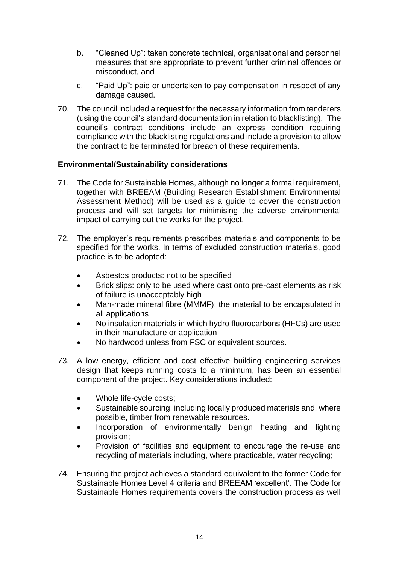- b. "Cleaned Up": taken concrete technical, organisational and personnel measures that are appropriate to prevent further criminal offences or misconduct, and
- c. "Paid Up": paid or undertaken to pay compensation in respect of any damage caused.
- 70. The council included a request for the necessary information from tenderers (using the council's standard documentation in relation to blacklisting). The council's contract conditions include an express condition requiring compliance with the blacklisting regulations and include a provision to allow the contract to be terminated for breach of these requirements.

## **Environmental/Sustainability considerations**

- 71. The Code for Sustainable Homes, although no longer a formal requirement, together with BREEAM (Building Research Establishment Environmental Assessment Method) will be used as a guide to cover the construction process and will set targets for minimising the adverse environmental impact of carrying out the works for the project.
- 72. The employer's requirements prescribes materials and components to be specified for the works. In terms of excluded construction materials, good practice is to be adopted:
	- Asbestos products: not to be specified
	- Brick slips: only to be used where cast onto pre-cast elements as risk of failure is unacceptably high
	- Man-made mineral fibre (MMMF): the material to be encapsulated in all applications
	- No insulation materials in which hydro fluorocarbons (HFCs) are used in their manufacture or application
	- No hardwood unless from FSC or equivalent sources.
- 73. A low energy, efficient and cost effective building engineering services design that keeps running costs to a minimum, has been an essential component of the project. Key considerations included:
	- Whole life-cycle costs;
	- Sustainable sourcing, including locally produced materials and, where possible, timber from renewable resources.
	- Incorporation of environmentally benign heating and lighting provision;
	- Provision of facilities and equipment to encourage the re-use and recycling of materials including, where practicable, water recycling;
- 74. Ensuring the project achieves a standard equivalent to the former Code for Sustainable Homes Level 4 criteria and BREEAM 'excellent'. The Code for Sustainable Homes requirements covers the construction process as well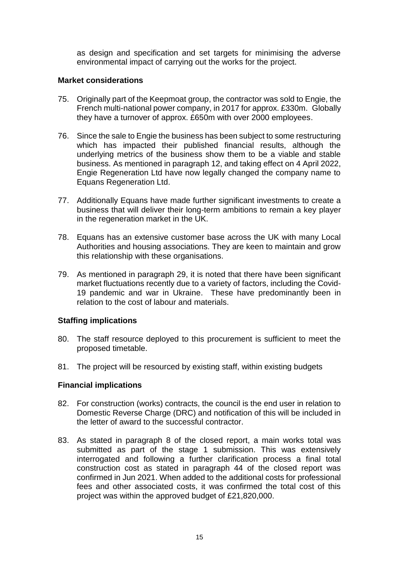as design and specification and set targets for minimising the adverse environmental impact of carrying out the works for the project.

#### **Market considerations**

- 75. Originally part of the Keepmoat group, the contractor was sold to Engie, the French multi-national power company, in 2017 for approx. £330m. Globally they have a turnover of approx. £650m with over 2000 employees.
- 76. Since the sale to Engie the business has been subject to some restructuring which has impacted their published financial results, although the underlying metrics of the business show them to be a viable and stable business. As mentioned in paragraph 12, and taking effect on 4 April 2022, Engie Regeneration Ltd have now legally changed the company name to Equans Regeneration Ltd.
- 77. Additionally Equans have made further significant investments to create a business that will deliver their long-term ambitions to remain a key player in the regeneration market in the UK.
- 78. Equans has an extensive customer base across the UK with many Local Authorities and housing associations. They are keen to maintain and grow this relationship with these organisations.
- 79. As mentioned in paragraph 29, it is noted that there have been significant market fluctuations recently due to a variety of factors, including the Covid-19 pandemic and war in Ukraine. These have predominantly been in relation to the cost of labour and materials.

#### **Staffing implications**

- 80. The staff resource deployed to this procurement is sufficient to meet the proposed timetable.
- 81. The project will be resourced by existing staff, within existing budgets

#### **Financial implications**

- 82. For construction (works) contracts, the council is the end user in relation to Domestic Reverse Charge (DRC) and notification of this will be included in the letter of award to the successful contractor.
- 83. As stated in paragraph 8 of the closed report, a main works total was submitted as part of the stage 1 submission. This was extensively interrogated and following a further clarification process a final total construction cost as stated in paragraph 44 of the closed report was confirmed in Jun 2021. When added to the additional costs for professional fees and other associated costs, it was confirmed the total cost of this project was within the approved budget of £21,820,000.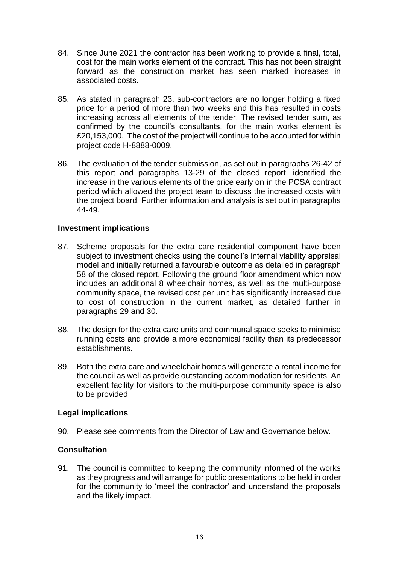- 84. Since June 2021 the contractor has been working to provide a final, total, cost for the main works element of the contract. This has not been straight forward as the construction market has seen marked increases in associated costs.
- 85. As stated in paragraph 23, sub-contractors are no longer holding a fixed price for a period of more than two weeks and this has resulted in costs increasing across all elements of the tender. The revised tender sum, as confirmed by the council's consultants, for the main works element is £20,153,000. The cost of the project will continue to be accounted for within project code H-8888-0009.
- 86. The evaluation of the tender submission, as set out in paragraphs 26-42 of this report and paragraphs 13-29 of the closed report, identified the increase in the various elements of the price early on in the PCSA contract period which allowed the project team to discuss the increased costs with the project board. Further information and analysis is set out in paragraphs 44-49.

#### **Investment implications**

- 87. Scheme proposals for the extra care residential component have been subject to investment checks using the council's internal viability appraisal model and initially returned a favourable outcome as detailed in paragraph 58 of the closed report. Following the ground floor amendment which now includes an additional 8 wheelchair homes, as well as the multi-purpose community space, the revised cost per unit has significantly increased due to cost of construction in the current market, as detailed further in paragraphs 29 and 30.
- 88. The design for the extra care units and communal space seeks to minimise running costs and provide a more economical facility than its predecessor establishments.
- 89. Both the extra care and wheelchair homes will generate a rental income for the council as well as provide outstanding accommodation for residents. An excellent facility for visitors to the multi-purpose community space is also to be provided

#### **Legal implications**

90. Please see comments from the Director of Law and Governance below.

#### **Consultation**

91. The council is committed to keeping the community informed of the works as they progress and will arrange for public presentations to be held in order for the community to 'meet the contractor' and understand the proposals and the likely impact.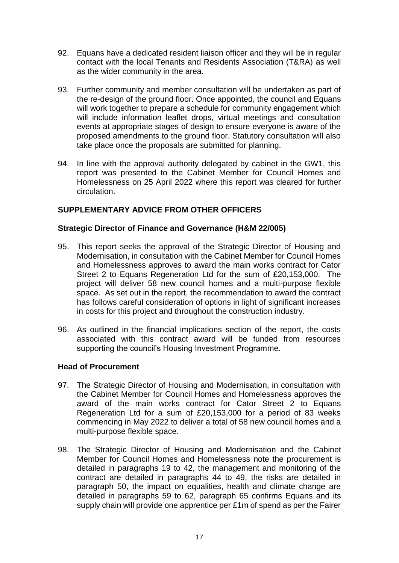- 92. Equans have a dedicated resident liaison officer and they will be in regular contact with the local Tenants and Residents Association (T&RA) as well as the wider community in the area.
- 93. Further community and member consultation will be undertaken as part of the re-design of the ground floor. Once appointed, the council and Equans will work together to prepare a schedule for community engagement which will include information leaflet drops, virtual meetings and consultation events at appropriate stages of design to ensure everyone is aware of the proposed amendments to the ground floor. Statutory consultation will also take place once the proposals are submitted for planning.
- 94. In line with the approval authority delegated by cabinet in the GW1, this report was presented to the Cabinet Member for Council Homes and Homelessness on 25 April 2022 where this report was cleared for further circulation.

## **SUPPLEMENTARY ADVICE FROM OTHER OFFICERS**

#### **Strategic Director of Finance and Governance (H&M 22/005)**

- 95. This report seeks the approval of the Strategic Director of Housing and Modernisation, in consultation with the Cabinet Member for Council Homes and Homelessness approves to award the main works contract for Cator Street 2 to Equans Regeneration Ltd for the sum of £20,153,000. The project will deliver 58 new council homes and a multi-purpose flexible space. As set out in the report, the recommendation to award the contract has follows careful consideration of options in light of significant increases in costs for this project and throughout the construction industry.
- 96. As outlined in the financial implications section of the report, the costs associated with this contract award will be funded from resources supporting the council's Housing Investment Programme.

#### **Head of Procurement**

- 97. The Strategic Director of Housing and Modernisation, in consultation with the Cabinet Member for Council Homes and Homelessness approves the award of the main works contract for Cator Street 2 to Equans Regeneration Ltd for a sum of £20,153,000 for a period of 83 weeks commencing in May 2022 to deliver a total of 58 new council homes and a multi-purpose flexible space.
- 98. The Strategic Director of Housing and Modernisation and the Cabinet Member for Council Homes and Homelessness note the procurement is detailed in paragraphs 19 to 42, the management and monitoring of the contract are detailed in paragraphs 44 to 49, the risks are detailed in paragraph 50, the impact on equalities, health and climate change are detailed in paragraphs 59 to 62, paragraph 65 confirms Equans and its supply chain will provide one apprentice per £1m of spend as per the Fairer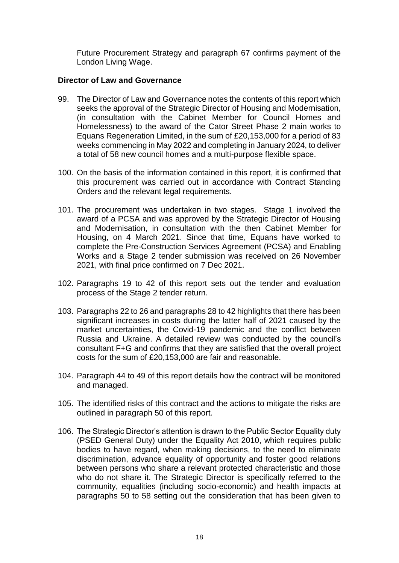Future Procurement Strategy and paragraph 67 confirms payment of the London Living Wage.

### **Director of Law and Governance**

- 99. The Director of Law and Governance notes the contents of this report which seeks the approval of the Strategic Director of Housing and Modernisation, (in consultation with the Cabinet Member for Council Homes and Homelessness) to the award of the Cator Street Phase 2 main works to Equans Regeneration Limited, in the sum of £20,153,000 for a period of 83 weeks commencing in May 2022 and completing in January 2024, to deliver a total of 58 new council homes and a multi-purpose flexible space.
- 100. On the basis of the information contained in this report, it is confirmed that this procurement was carried out in accordance with Contract Standing Orders and the relevant legal requirements.
- 101. The procurement was undertaken in two stages. Stage 1 involved the award of a PCSA and was approved by the Strategic Director of Housing and Modernisation, in consultation with the then Cabinet Member for Housing, on 4 March 2021. Since that time, Equans have worked to complete the Pre-Construction Services Agreement (PCSA) and Enabling Works and a Stage 2 tender submission was received on 26 November 2021, with final price confirmed on 7 Dec 2021.
- 102. Paragraphs 19 to 42 of this report sets out the tender and evaluation process of the Stage 2 tender return.
- 103. Paragraphs 22 to 26 and paragraphs 28 to 42 highlights that there has been significant increases in costs during the latter half of 2021 caused by the market uncertainties, the Covid-19 pandemic and the conflict between Russia and Ukraine. A detailed review was conducted by the council's consultant F+G and confirms that they are satisfied that the overall project costs for the sum of £20,153,000 are fair and reasonable.
- 104. Paragraph 44 to 49 of this report details how the contract will be monitored and managed.
- 105. The identified risks of this contract and the actions to mitigate the risks are outlined in paragraph 50 of this report.
- 106. The Strategic Director's attention is drawn to the Public Sector Equality duty (PSED General Duty) under the Equality Act 2010, which requires public bodies to have regard, when making decisions, to the need to eliminate discrimination, advance equality of opportunity and foster good relations between persons who share a relevant protected characteristic and those who do not share it. The Strategic Director is specifically referred to the community, equalities (including socio-economic) and health impacts at paragraphs 50 to 58 setting out the consideration that has been given to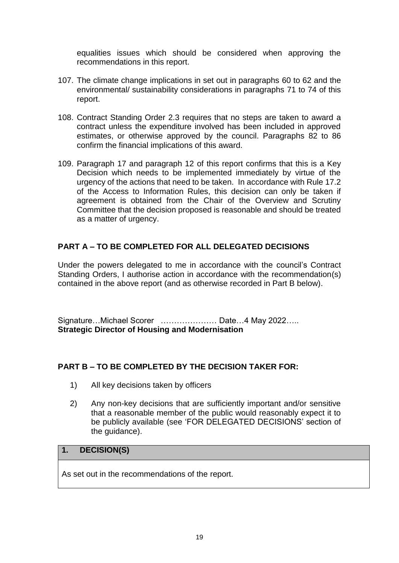equalities issues which should be considered when approving the recommendations in this report.

- 107. The climate change implications in set out in paragraphs 60 to 62 and the environmental/ sustainability considerations in paragraphs 71 to 74 of this report.
- 108. Contract Standing Order 2.3 requires that no steps are taken to award a contract unless the expenditure involved has been included in approved estimates, or otherwise approved by the council. Paragraphs 82 to 86 confirm the financial implications of this award.
- 109. Paragraph 17 and paragraph 12 of this report confirms that this is a Key Decision which needs to be implemented immediately by virtue of the urgency of the actions that need to be taken. In accordance with Rule 17.2 of the Access to Information Rules, this decision can only be taken if agreement is obtained from the Chair of the Overview and Scrutiny Committee that the decision proposed is reasonable and should be treated as a matter of urgency.

# **PART A – TO BE COMPLETED FOR ALL DELEGATED DECISIONS**

Under the powers delegated to me in accordance with the council's Contract Standing Orders, I authorise action in accordance with the recommendation(s) contained in the above report (and as otherwise recorded in Part B below).

Signature…Michael Scorer ………………… Date…4 May 2022….. **Strategic Director of Housing and Modernisation** 

## **PART B – TO BE COMPLETED BY THE DECISION TAKER FOR:**

- 1) All key decisions taken by officers
- 2) Any non-key decisions that are sufficiently important and/or sensitive that a reasonable member of the public would reasonably expect it to be publicly available (see 'FOR DELEGATED DECISIONS' section of the guidance).

## **1. DECISION(S)**

As set out in the recommendations of the report.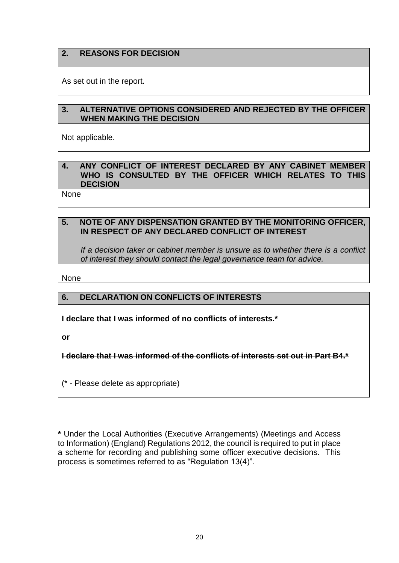## **2. REASONS FOR DECISION**

As set out in the report.

## **3. ALTERNATIVE OPTIONS CONSIDERED AND REJECTED BY THE OFFICER WHEN MAKING THE DECISION**

Not applicable.

### **4. ANY CONFLICT OF INTEREST DECLARED BY ANY CABINET MEMBER WHO IS CONSULTED BY THE OFFICER WHICH RELATES TO THIS DECISION**

None

#### **5. NOTE OF ANY DISPENSATION GRANTED BY THE MONITORING OFFICER, IN RESPECT OF ANY DECLARED CONFLICT OF INTEREST**

*If a decision taker or cabinet member is unsure as to whether there is a conflict of interest they should contact the legal governance team for advice.*

None

## **6. DECLARATION ON CONFLICTS OF INTERESTS**

**I declare that I was informed of no conflicts of interests.\***

**or**

**I declare that I was informed of the conflicts of interests set out in Part B4.\***

(\* - Please delete as appropriate)

**\*** Under the Local Authorities (Executive Arrangements) (Meetings and Access to Information) (England) Regulations 2012, the council is required to put in place a scheme for recording and publishing some officer executive decisions. This process is sometimes referred to as "Regulation 13(4)".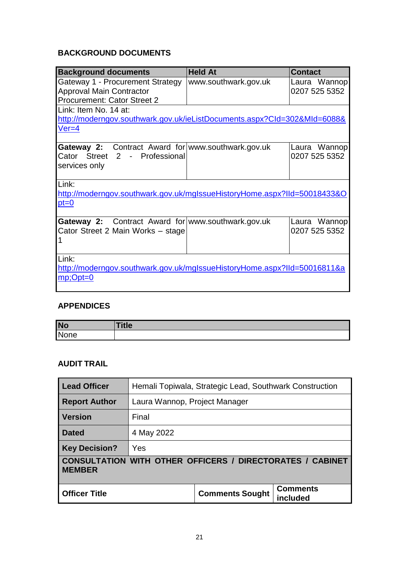# **BACKGROUND DOCUMENTS**

| <b>Background documents</b>                                                                                  | <b>Held At</b>       | <b>Contact</b>                |
|--------------------------------------------------------------------------------------------------------------|----------------------|-------------------------------|
| Gateway 1 - Procurement Strategy<br><b>Approval Main Contractor</b><br><b>Procurement: Cator Street 2</b>    | www.southwark.gov.uk | Laura Wannop<br>0207 525 5352 |
| Link: Item No. 14 at:<br>http://moderngov.southwark.gov.uk/ieListDocuments.aspx?CId=302&MId=6088&<br>$Ver=4$ |                      |                               |
| <b>Gateway 2:</b> Contract Award for www.southwark.gov.uk<br>Cator Street 2 - Professional<br>services only  |                      | Laura Wannop<br>0207 525 5352 |
| Link:<br>http://moderngov.southwark.gov.uk/mglssueHistoryHome.aspx?IId=50018433&O<br>$pt=0$                  |                      |                               |
| Gateway 2: Contract Award for www.southwark.gov.uk<br>Cator Street 2 Main Works - stage                      |                      | Laura Wannop<br>0207 525 5352 |
| Link:<br>http://moderngov.southwark.gov.uk/mglssueHistoryHome.aspx?IId=50016811&a<br>$mp; Opt=0$             |                      |                               |

# **APPENDICES**

| <b>No</b> | <b>Title</b> |
|-----------|--------------|
| None      |              |

# **AUDIT TRAIL**

| <b>Lead Officer</b>                                                               | Hemali Topiwala, Strategic Lead, Southwark Construction |                        |                             |  |
|-----------------------------------------------------------------------------------|---------------------------------------------------------|------------------------|-----------------------------|--|
| <b>Report Author</b>                                                              | Laura Wannop, Project Manager                           |                        |                             |  |
| <b>Version</b>                                                                    | Final                                                   |                        |                             |  |
| <b>Dated</b>                                                                      | 4 May 2022                                              |                        |                             |  |
| <b>Key Decision?</b>                                                              | Yes                                                     |                        |                             |  |
| <b>CONSULTATION WITH OTHER OFFICERS / DIRECTORATES / CABINET</b><br><b>MEMBER</b> |                                                         |                        |                             |  |
| <b>Officer Title</b>                                                              |                                                         | <b>Comments Sought</b> | <b>Comments</b><br>included |  |